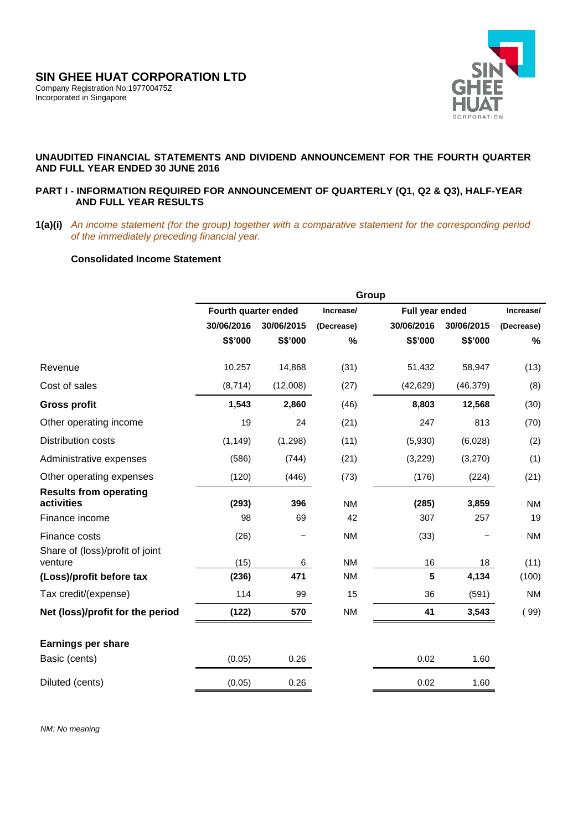

# **UNAUDITED FINANCIAL STATEMENTS AND DIVIDEND ANNOUNCEMENT FOR THE FOURTH QUARTER AND FULL YEAR ENDED 30 JUNE 2016**

# **PART I - INFORMATION REQUIRED FOR ANNOUNCEMENT OF QUARTERLY (Q1, Q2 & Q3), HALF-YEAR AND FULL YEAR RESULTS**

**1(a)(i)** *An income statement (for the group) together with a comparative statement for the corresponding period of the immediately preceding financial year.* 

# **Consolidated Income Statement**

|                                             | Group                    |          |            |                 |            |            |
|---------------------------------------------|--------------------------|----------|------------|-----------------|------------|------------|
|                                             | Fourth quarter ended     |          | Increase/  | Full year ended |            | Increase/  |
|                                             | 30/06/2016<br>30/06/2015 |          | (Decrease) | 30/06/2016      | 30/06/2015 | (Decrease) |
|                                             | S\$'000                  | S\$'000  | %          | S\$'000         | S\$'000    | %          |
| Revenue                                     | 10,257                   | 14,868   | (31)       | 51,432          | 58,947     | (13)       |
| Cost of sales                               | (8,714)                  | (12,008) | (27)       | (42, 629)       | (46, 379)  | (8)        |
| <b>Gross profit</b>                         | 1,543                    | 2,860    | (46)       | 8,803           | 12,568     | (30)       |
| Other operating income                      | 19                       | 24       | (21)       | 247             | 813        | (70)       |
| <b>Distribution costs</b>                   | (1, 149)                 | (1,298)  | (11)       | (5,930)         | (6,028)    | (2)        |
| Administrative expenses                     | (586)                    | (744)    | (21)       | (3,229)         | (3,270)    | (1)        |
| Other operating expenses                    | (120)                    | (446)    | (73)       | (176)           | (224)      | (21)       |
| <b>Results from operating</b><br>activities | (293)                    | 396      | <b>NM</b>  | (285)           | 3,859      | <b>NM</b>  |
| Finance income                              | 98                       | 69       | 42         | 307             | 257        | 19         |
| Finance costs                               | (26)                     |          | <b>NM</b>  | (33)            |            | <b>NM</b>  |
| Share of (loss)/profit of joint<br>venture  | (15)                     | 6        | <b>NM</b>  | 16              | 18         | (11)       |
| (Loss)/profit before tax                    | (236)                    | 471      | <b>NM</b>  | 5               | 4,134      | (100)      |
| Tax credit/(expense)                        | 114                      | 99       | 15         | 36              | (591)      | <b>NM</b>  |
| Net (loss)/profit for the period            | (122)                    | 570      | <b>NM</b>  | 41              | 3,543      | (99)       |
| <b>Earnings per share</b>                   |                          |          |            |                 |            |            |
| Basic (cents)                               | (0.05)                   | 0.26     |            | 0.02            | 1.60       |            |
| Diluted (cents)                             | (0.05)                   | 0.26     |            | 0.02            | 1.60       |            |

 *NM: No meaning*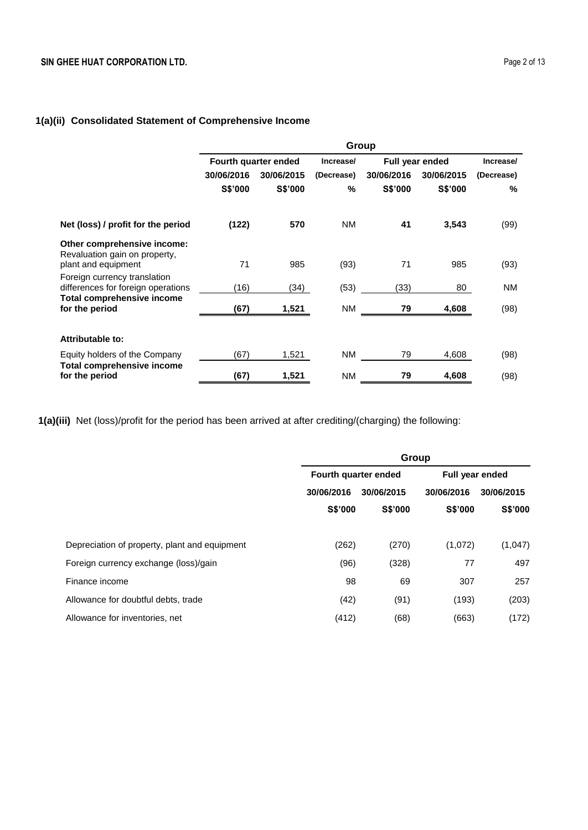# **1(a)(ii) Consolidated Statement of Comprehensive Income**

|                                                                    | Group                |            |            |                          |         |            |
|--------------------------------------------------------------------|----------------------|------------|------------|--------------------------|---------|------------|
|                                                                    | Fourth quarter ended |            | Increase/  | <b>Full year ended</b>   |         | Increase/  |
|                                                                    | 30/06/2016           | 30/06/2015 | (Decrease) | 30/06/2016<br>30/06/2015 |         | (Decrease) |
|                                                                    | S\$'000              | S\$'000    | %          | S\$'000                  | S\$'000 | %          |
| Net (loss) / profit for the period                                 | (122)                | 570        | <b>NM</b>  | 41                       | 3,543   | (99)       |
| Other comprehensive income:                                        |                      |            |            |                          |         |            |
| Revaluation gain on property,                                      |                      |            |            |                          |         |            |
| plant and equipment                                                | 71                   | 985        | (93)       | 71                       | 985     | (93)       |
| Foreign currency translation<br>differences for foreign operations | (16)                 | (34)       | (53)       | (33)                     | 80      | <b>NM</b>  |
| <b>Total comprehensive income</b>                                  |                      |            |            |                          |         |            |
| for the period                                                     | (67)                 | 1,521      | <b>NM</b>  | 79                       | 4,608   | (98)       |
|                                                                    |                      |            |            |                          |         |            |
| <b>Attributable to:</b>                                            |                      |            |            |                          |         |            |
| Equity holders of the Company                                      | (67)                 | 1,521      | <b>NM</b>  | 79                       | 4,608   | (98)       |
| <b>Total comprehensive income</b><br>for the period                | (67)                 | 1,521      | <b>NM</b>  | 79                       | 4,608   | (98)       |
|                                                                    |                      |            |            |                          |         |            |

**1(a)(iii)** Net (loss)/profit for the period has been arrived at after crediting/(charging) the following:

|                                               | Group                    |                |                 |            |  |
|-----------------------------------------------|--------------------------|----------------|-----------------|------------|--|
|                                               | Fourth quarter ended     |                | Full year ended |            |  |
|                                               | 30/06/2016<br>30/06/2015 |                | 30/06/2016      | 30/06/2015 |  |
|                                               | S\$'000                  | <b>S\$'000</b> | <b>S\$'000</b>  | S\$'000    |  |
|                                               |                          |                |                 |            |  |
| Depreciation of property, plant and equipment | (262)                    | (270)          | (1,072)         | (1,047)    |  |
| Foreign currency exchange (loss)/gain         | (96)                     | (328)          | 77              | 497        |  |
| Finance income                                | 98                       | 69             | 307             | 257        |  |
| Allowance for doubtful debts, trade           | (42)                     | (91)           | (193)           | (203)      |  |
| Allowance for inventories, net                | (412)                    | (68)           | (663)           | (172)      |  |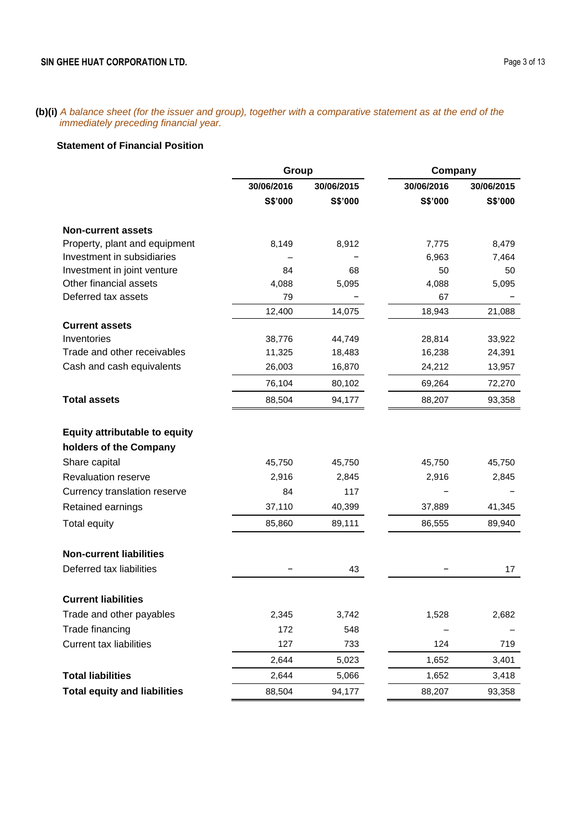**(b)(i)** *A balance sheet (for the issuer and group), together with a comparative statement as at the end of the immediately preceding financial year.*

# **Statement of Financial Position**

|                                      | Group      |            | Company    |            |
|--------------------------------------|------------|------------|------------|------------|
|                                      | 30/06/2016 | 30/06/2015 | 30/06/2016 | 30/06/2015 |
|                                      | S\$'000    | S\$'000    | S\$'000    | S\$'000    |
| <b>Non-current assets</b>            |            |            |            |            |
| Property, plant and equipment        | 8,149      | 8,912      | 7,775      | 8,479      |
| Investment in subsidiaries           |            |            | 6,963      | 7,464      |
| Investment in joint venture          | 84         | 68         | 50         | 50         |
| Other financial assets               | 4,088      | 5,095      | 4,088      | 5,095      |
| Deferred tax assets                  | 79         |            | 67         | -          |
|                                      | 12,400     | 14,075     | 18,943     | 21,088     |
| <b>Current assets</b>                |            |            |            |            |
| Inventories                          | 38,776     | 44,749     | 28,814     | 33,922     |
| Trade and other receivables          | 11,325     | 18,483     | 16,238     | 24,391     |
| Cash and cash equivalents            | 26,003     | 16,870     | 24,212     | 13,957     |
|                                      | 76,104     | 80,102     | 69,264     | 72,270     |
| <b>Total assets</b>                  | 88,504     | 94,177     | 88,207     | 93,358     |
| <b>Equity attributable to equity</b> |            |            |            |            |
| holders of the Company               |            |            |            |            |
| Share capital                        | 45,750     | 45,750     | 45,750     | 45,750     |
| Revaluation reserve                  | 2,916      | 2,845      | 2,916      | 2,845      |
| Currency translation reserve         | 84         | 117        |            |            |
| Retained earnings                    | 37,110     | 40,399     | 37,889     | 41,345     |
| Total equity                         | 85,860     | 89,111     | 86,555     | 89,940     |
| <b>Non-current liabilities</b>       |            |            |            |            |
| Deferred tax liabilities             |            | 43         | -          | 17         |
|                                      |            |            |            |            |
| <b>Current liabilities</b>           |            |            |            |            |
| Trade and other payables             | 2,345      | 3,742      | 1,528      | 2,682      |
| Trade financing                      | 172        | 548        |            |            |
| <b>Current tax liabilities</b>       | 127        | 733        | 124        | 719        |
|                                      | 2,644      | 5,023      | 1,652      | 3,401      |
| <b>Total liabilities</b>             | 2,644      | 5,066      | 1,652      | 3,418      |
| <b>Total equity and liabilities</b>  | 88,504     | 94,177     | 88,207     | 93,358     |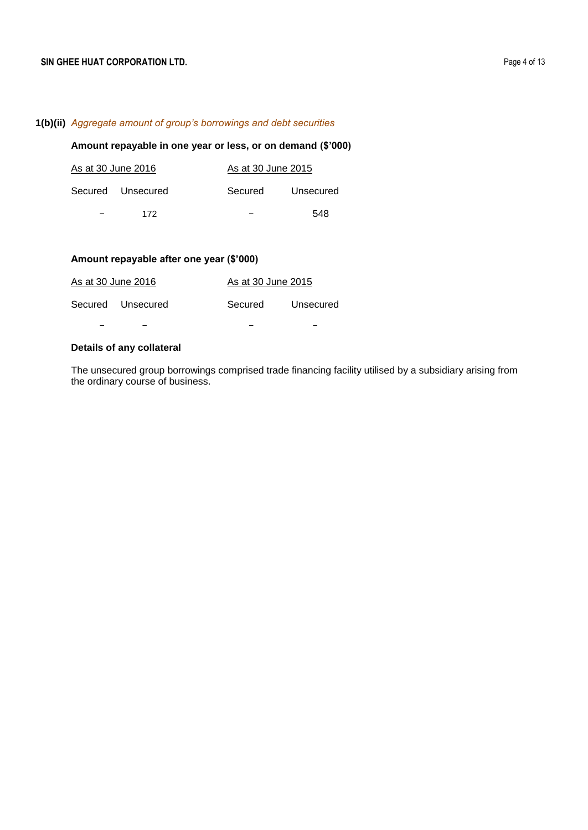# **1(b)(ii)** *Aggregate amount of group's borrowings and debt securities*

# **Amount repayable in one year or less, or on demand (\$'000)**

| As at 30 June 2016 | As at 30 June 2015 |           |
|--------------------|--------------------|-----------|
| Secured Unsecured  | Secured            | Unsecured |
| 172                |                    | 548       |

# **Amount repayable after one year (\$'000)**

| As at 30 June 2016 | As at 30 June 2015 |           |
|--------------------|--------------------|-----------|
| Secured Unsecured  | Secured            | Unsecured |
|                    |                    |           |

# **Details of any collateral**

The unsecured group borrowings comprised trade financing facility utilised by a subsidiary arising from the ordinary course of business.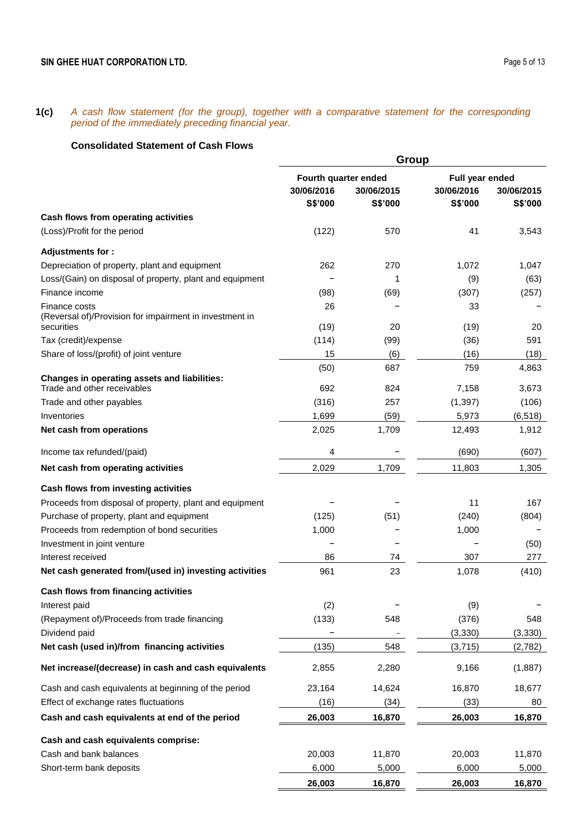**1(c)** *A cash flow statement (for the group), together with a comparative statement for the corresponding period of the immediately preceding financial year.*

# **Consolidated Statement of Cash Flows**

|                                                                                    |                                               | Group                 |                                          |                       |
|------------------------------------------------------------------------------------|-----------------------------------------------|-----------------------|------------------------------------------|-----------------------|
|                                                                                    | Fourth quarter ended<br>30/06/2016<br>S\$'000 | 30/06/2015<br>S\$'000 | Full year ended<br>30/06/2016<br>S\$'000 | 30/06/2015<br>S\$'000 |
| Cash flows from operating activities                                               |                                               |                       |                                          |                       |
| (Loss)/Profit for the period                                                       | (122)                                         | 570                   | 41                                       | 3,543                 |
| Adjustments for:                                                                   |                                               |                       |                                          |                       |
| Depreciation of property, plant and equipment                                      | 262                                           | 270                   | 1,072                                    | 1,047                 |
| Loss/(Gain) on disposal of property, plant and equipment                           |                                               | 1                     | (9)                                      | (63)                  |
| Finance income                                                                     | (98)                                          | (69)                  | (307)                                    | (257)                 |
| Finance costs<br>(Reversal of)/Provision for impairment in investment in           | 26                                            | 20                    | 33                                       |                       |
| securities<br>Tax (credit)/expense                                                 | (19)<br>(114)                                 | (99)                  | (19)<br>(36)                             | 20<br>591             |
| Share of loss/(profit) of joint venture                                            | 15                                            | (6)                   | (16)                                     | (18)                  |
|                                                                                    | (50)                                          | 687                   | 759                                      | 4,863                 |
| <b>Changes in operating assets and liabilities:</b><br>Trade and other receivables | 692                                           | 824                   | 7,158                                    | 3,673                 |
| Trade and other payables                                                           | (316)                                         | 257                   | (1, 397)                                 | (106)                 |
| Inventories                                                                        | 1,699                                         | (59)                  | 5,973                                    | (6, 518)              |
| Net cash from operations                                                           | 2,025                                         | 1,709                 | 12,493                                   | 1,912                 |
| Income tax refunded/(paid)                                                         | 4                                             |                       | (690)                                    | (607)                 |
| Net cash from operating activities                                                 | 2,029                                         | 1,709                 | 11,803                                   | 1,305                 |
| Cash flows from investing activities                                               |                                               |                       |                                          |                       |
| Proceeds from disposal of property, plant and equipment                            |                                               |                       | 11                                       | 167                   |
| Purchase of property, plant and equipment                                          | (125)                                         | (51)                  | (240)                                    | (804)                 |
| Proceeds from redemption of bond securities                                        | 1,000                                         |                       | 1,000                                    |                       |
| Investment in joint venture                                                        |                                               |                       |                                          | (50)                  |
| Interest received                                                                  | 86                                            | 74                    | 307                                      | 277                   |
| Net cash generated from/(used in) investing activities                             | 961                                           | 23                    | 1,078                                    | (410)                 |
| Cash flows from financing activities                                               |                                               |                       |                                          |                       |
| Interest paid                                                                      | (2)                                           |                       | (9)                                      |                       |
| (Repayment of)/Proceeds from trade financing                                       | (133)                                         | 548                   | (376)                                    | 548                   |
| Dividend paid                                                                      |                                               |                       | (3, 330)                                 | (3, 330)              |
| Net cash (used in)/from financing activities                                       | (135)                                         | 548                   | (3,715)                                  | (2,782)               |
| Net increase/(decrease) in cash and cash equivalents                               | 2,855                                         | 2,280                 | 9,166                                    | (1,887)               |
| Cash and cash equivalents at beginning of the period                               | 23,164                                        | 14,624                | 16,870                                   | 18,677                |
| Effect of exchange rates fluctuations                                              | (16)                                          | (34)                  | (33)                                     | 80                    |
| Cash and cash equivalents at end of the period                                     | 26,003                                        | 16,870                | 26,003                                   | 16,870                |
| Cash and cash equivalents comprise:                                                |                                               |                       |                                          |                       |
| Cash and bank balances                                                             | 20,003                                        | 11,870                | 20,003                                   | 11,870                |
| Short-term bank deposits                                                           | 6,000                                         | 5,000                 | 6,000                                    | 5,000                 |
|                                                                                    | 26,003                                        | 16,870                | 26,003                                   | 16,870                |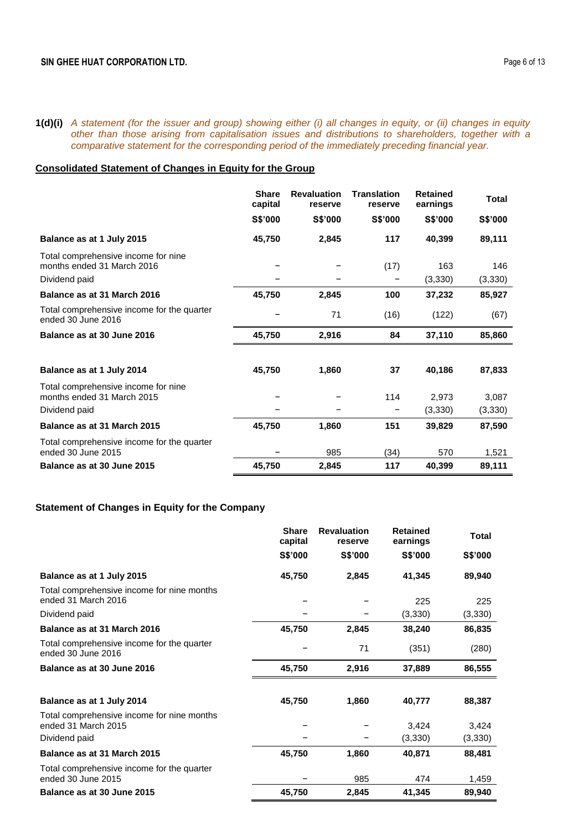### **1(d)(i)** *A statement (for the issuer and group) showing either (i) all changes in equity, or (ii) changes in equity other than those arising from capitalisation issues and distributions to shareholders, together with a comparative statement for the corresponding period of the immediately preceding financial year.*

# **Consolidated Statement of Changes in Equity for the Group**

|                                                                                    | <b>Share</b><br>capital | <b>Revaluation</b><br>reserve | <b>Translation</b><br>reserve | <b>Retained</b><br>earnings | Total            |
|------------------------------------------------------------------------------------|-------------------------|-------------------------------|-------------------------------|-----------------------------|------------------|
|                                                                                    | S\$'000                 | S\$'000                       | S\$'000                       | S\$'000                     | S\$'000          |
| Balance as at 1 July 2015                                                          | 45,750                  | 2,845                         | 117                           | 40,399                      | 89,111           |
| Total comprehensive income for nine<br>months ended 31 March 2016<br>Dividend paid |                         |                               | (17)                          | 163<br>(3,330)              | 146<br>(3,330)   |
| Balance as at 31 March 2016                                                        | 45,750                  | 2,845                         | 100                           | 37,232                      | 85,927           |
| Total comprehensive income for the quarter<br>ended 30 June 2016                   |                         | 71                            | (16)                          | (122)                       | (67)             |
| Balance as at 30 June 2016                                                         | 45,750                  | 2,916                         | 84                            | 37,110                      | 85,860           |
|                                                                                    |                         |                               |                               |                             |                  |
| Balance as at 1 July 2014                                                          | 45,750                  | 1,860                         | 37                            | 40,186                      | 87,833           |
| Total comprehensive income for nine<br>months ended 31 March 2015<br>Dividend paid |                         |                               | 114<br>-                      | 2,973<br>(3,330)            | 3,087<br>(3,330) |
| Balance as at 31 March 2015                                                        | 45,750                  | 1,860                         | 151                           | 39,829                      | 87,590           |
| Total comprehensive income for the quarter<br>ended 30 June 2015                   |                         | 985                           | (34)                          | 570                         | 1,521            |
| Balance as at 30 June 2015                                                         | 45,750                  | 2.845                         | 117                           | 40.399                      | 89,111           |

# **Statement of Changes in Equity for the Company**

|                                                                   | <b>Share</b><br>capital | <b>Revaluation</b><br>reserve | <b>Retained</b><br>earnings | Total          |
|-------------------------------------------------------------------|-------------------------|-------------------------------|-----------------------------|----------------|
|                                                                   | S\$'000                 | <b>S\$'000</b>                | S\$'000                     | <b>S\$'000</b> |
| Balance as at 1 July 2015                                         | 45,750                  | 2,845                         | 41,345                      | 89,940         |
| Total comprehensive income for nine months<br>ended 31 March 2016 |                         |                               | 225                         | 225            |
| Dividend paid                                                     |                         |                               | (3,330)                     | (3, 330)       |
| Balance as at 31 March 2016                                       | 45,750                  | 2,845                         | 38,240                      | 86,835         |
| Total comprehensive income for the quarter<br>ended 30 June 2016  |                         | 71                            | (351)                       | (280)          |
| Balance as at 30 June 2016                                        | 45,750                  | 2,916                         | 37,889                      | 86,555         |
| Balance as at 1 July 2014                                         | 45,750                  | 1,860                         | 40,777                      | 88,387         |
| Total comprehensive income for nine months<br>ended 31 March 2015 |                         |                               | 3,424                       | 3,424          |
| Dividend paid                                                     |                         |                               | (3,330)                     | (3,330)        |
| Balance as at 31 March 2015                                       | 45,750                  | 1,860                         | 40,871                      | 88,481         |
| Total comprehensive income for the quarter<br>ended 30 June 2015  |                         | 985                           | 474                         | 1,459          |
| Balance as at 30 June 2015                                        | 45,750                  | 2,845                         | 41,345                      | 89,940         |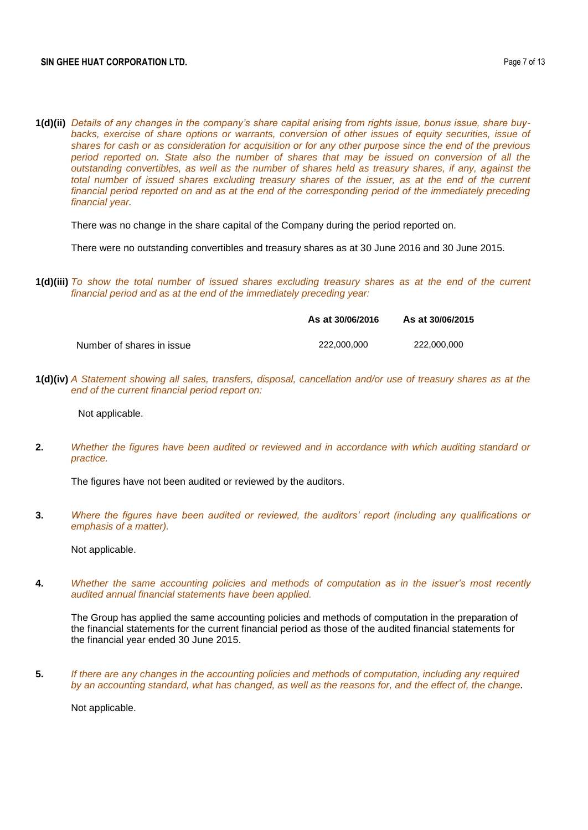**1(d)(ii)** *Details of any changes in the company's share capital arising from rights issue, bonus issue, share buy*backs, exercise of share options or warrants, conversion of other issues of equity securities, issue of *shares for cash or as consideration for acquisition or for any other purpose since the end of the previous period reported on. State also the number of shares that may be issued on conversion of all the outstanding convertibles, as well as the number of shares held as treasury shares, if any, against the total number of issued shares excluding treasury shares of the issuer, as at the end of the current financial period reported on and as at the end of the corresponding period of the immediately preceding financial year.*

There was no change in the share capital of the Company during the period reported on.

There were no outstanding convertibles and treasury shares as at 30 June 2016 and 30 June 2015.

**1(d)(iii)** *To show the total number of issued shares excluding treasury shares as at the end of the current financial period and as at the end of the immediately preceding year:* 

|                           | As at 30/06/2016 | As at 30/06/2015 |
|---------------------------|------------------|------------------|
| Number of shares in issue | 222,000,000      | 222.000.000      |

**1(d)(iv)** *A Statement showing all sales, transfers, disposal, cancellation and/or use of treasury shares as at the end of the current financial period report on:* 

Not applicable.

**2.** *Whether the figures have been audited or reviewed and in accordance with which auditing standard or practice.*

The figures have not been audited or reviewed by the auditors.

**3.** *Where the figures have been audited or reviewed, the auditors' report (including any qualifications or emphasis of a matter).*

Not applicable.

**4.** *Whether the same accounting policies and methods of computation as in the issuer's most recently audited annual financial statements have been applied.*

The Group has applied the same accounting policies and methods of computation in the preparation of the financial statements for the current financial period as those of the audited financial statements for the financial year ended 30 June 2015.

**5.** *If there are any changes in the accounting policies and methods of computation, including any required by an accounting standard, what has changed, as well as the reasons for, and the effect of, the change.*

Not applicable.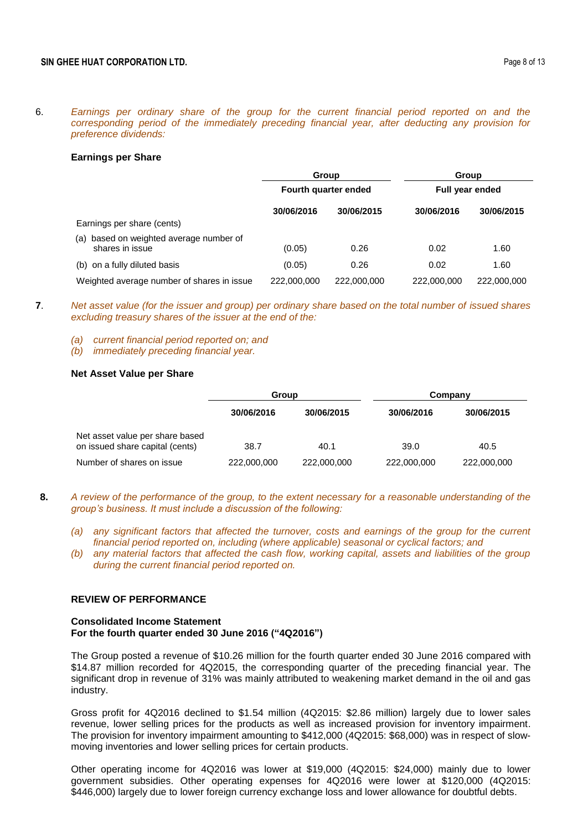6. *Earnings per ordinary share of the group for the current financial period reported on and the corresponding period of the immediately preceding financial year, after deducting any provision for preference dividends:*

#### **Earnings per Share**

|                                                            | <b>Group</b>         |             |                        | Group       |
|------------------------------------------------------------|----------------------|-------------|------------------------|-------------|
|                                                            | Fourth quarter ended |             | <b>Full year ended</b> |             |
|                                                            | 30/06/2016           | 30/06/2015  | 30/06/2016             | 30/06/2015  |
| Earnings per share (cents)                                 |                      |             |                        |             |
| (a) based on weighted average number of<br>shares in issue | (0.05)               | 0.26        | 0.02                   | 1.60        |
| (b) on a fully diluted basis                               | (0.05)               | 0.26        | 0.02                   | 1.60        |
| Weighted average number of shares in issue                 | 222,000,000          | 222,000,000 | 222,000,000            | 222,000,000 |

- **7**. *Net asset value (for the issuer and group) per ordinary share based on the total number of issued shares excluding treasury shares of the issuer at the end of the:*
	- *(a) current financial period reported on; and*
	- *(b) immediately preceding financial year.*

#### **Net Asset Value per Share**

|                                                                    | Group       |             | Company     |             |  |
|--------------------------------------------------------------------|-------------|-------------|-------------|-------------|--|
|                                                                    | 30/06/2016  | 30/06/2015  | 30/06/2016  | 30/06/2015  |  |
| Net asset value per share based<br>on issued share capital (cents) | 38.7        | 40.1        | 39.0        | 40.5        |  |
| Number of shares on issue                                          | 222,000,000 | 222,000,000 | 222,000,000 | 222,000,000 |  |

- **8.** *A review of the performance of the group, to the extent necessary for a reasonable understanding of the group's business. It must include a discussion of the following:*
	- *(a) any significant factors that affected the turnover, costs and earnings of the group for the current financial period reported on, including (where applicable) seasonal or cyclical factors; and*
	- *(b) any material factors that affected the cash flow, working capital, assets and liabilities of the group during the current financial period reported on.*

#### **REVIEW OF PERFORMANCE**

#### **Consolidated Income Statement For the fourth quarter ended 30 June 2016 ("4Q2016")**

The Group posted a revenue of \$10.26 million for the fourth quarter ended 30 June 2016 compared with \$14.87 million recorded for 4Q2015, the corresponding quarter of the preceding financial year. The significant drop in revenue of 31% was mainly attributed to weakening market demand in the oil and gas industry.

Gross profit for 4Q2016 declined to \$1.54 million (4Q2015: \$2.86 million) largely due to lower sales revenue, lower selling prices for the products as well as increased provision for inventory impairment. The provision for inventory impairment amounting to \$412,000 (4Q2015: \$68,000) was in respect of slowmoving inventories and lower selling prices for certain products.

Other operating income for 4Q2016 was lower at \$19,000 (4Q2015: \$24,000) mainly due to lower government subsidies. Other operating expenses for 4Q2016 were lower at \$120,000 (4Q2015: \$446,000) largely due to lower foreign currency exchange loss and lower allowance for doubtful debts.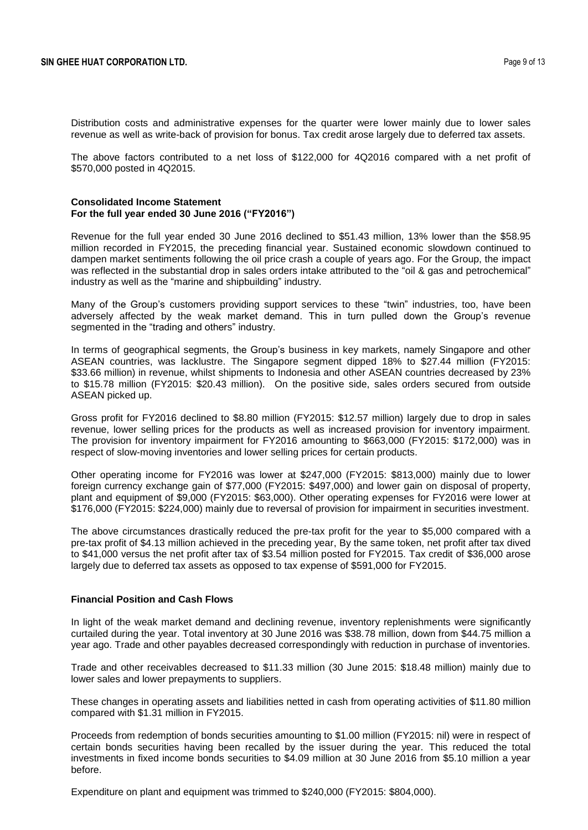Distribution costs and administrative expenses for the quarter were lower mainly due to lower sales revenue as well as write-back of provision for bonus. Tax credit arose largely due to deferred tax assets.

The above factors contributed to a net loss of \$122,000 for 4Q2016 compared with a net profit of \$570,000 posted in 4Q2015.

#### **Consolidated Income Statement For the full year ended 30 June 2016 ("FY2016")**

Revenue for the full year ended 30 June 2016 declined to \$51.43 million, 13% lower than the \$58.95 million recorded in FY2015, the preceding financial year. Sustained economic slowdown continued to dampen market sentiments following the oil price crash a couple of years ago. For the Group, the impact was reflected in the substantial drop in sales orders intake attributed to the "oil & gas and petrochemical" industry as well as the "marine and shipbuilding" industry.

Many of the Group's customers providing support services to these "twin" industries, too, have been adversely affected by the weak market demand. This in turn pulled down the Group's revenue segmented in the "trading and others" industry.

In terms of geographical segments, the Group's business in key markets, namely Singapore and other ASEAN countries, was lacklustre. The Singapore segment dipped 18% to \$27.44 million (FY2015: \$33.66 million) in revenue, whilst shipments to Indonesia and other ASEAN countries decreased by 23% to \$15.78 million (FY2015: \$20.43 million). On the positive side, sales orders secured from outside ASEAN picked up.

Gross profit for FY2016 declined to \$8.80 million (FY2015: \$12.57 million) largely due to drop in sales revenue, lower selling prices for the products as well as increased provision for inventory impairment. The provision for inventory impairment for FY2016 amounting to \$663,000 (FY2015: \$172,000) was in respect of slow-moving inventories and lower selling prices for certain products.

Other operating income for FY2016 was lower at \$247,000 (FY2015: \$813,000) mainly due to lower foreign currency exchange gain of \$77,000 (FY2015: \$497,000) and lower gain on disposal of property, plant and equipment of \$9,000 (FY2015: \$63,000). Other operating expenses for FY2016 were lower at \$176,000 (FY2015: \$224,000) mainly due to reversal of provision for impairment in securities investment.

The above circumstances drastically reduced the pre-tax profit for the year to \$5,000 compared with a pre-tax profit of \$4.13 million achieved in the preceding year, By the same token, net profit after tax dived to \$41,000 versus the net profit after tax of \$3.54 million posted for FY2015. Tax credit of \$36,000 arose largely due to deferred tax assets as opposed to tax expense of \$591,000 for FY2015.

### **Financial Position and Cash Flows**

In light of the weak market demand and declining revenue, inventory replenishments were significantly curtailed during the year. Total inventory at 30 June 2016 was \$38.78 million, down from \$44.75 million a year ago. Trade and other payables decreased correspondingly with reduction in purchase of inventories.

Trade and other receivables decreased to \$11.33 million (30 June 2015: \$18.48 million) mainly due to lower sales and lower prepayments to suppliers.

These changes in operating assets and liabilities netted in cash from operating activities of \$11.80 million compared with \$1.31 million in FY2015.

Proceeds from redemption of bonds securities amounting to \$1.00 million (FY2015: nil) were in respect of certain bonds securities having been recalled by the issuer during the year. This reduced the total investments in fixed income bonds securities to \$4.09 million at 30 June 2016 from \$5.10 million a year before.

Expenditure on plant and equipment was trimmed to \$240,000 (FY2015: \$804,000).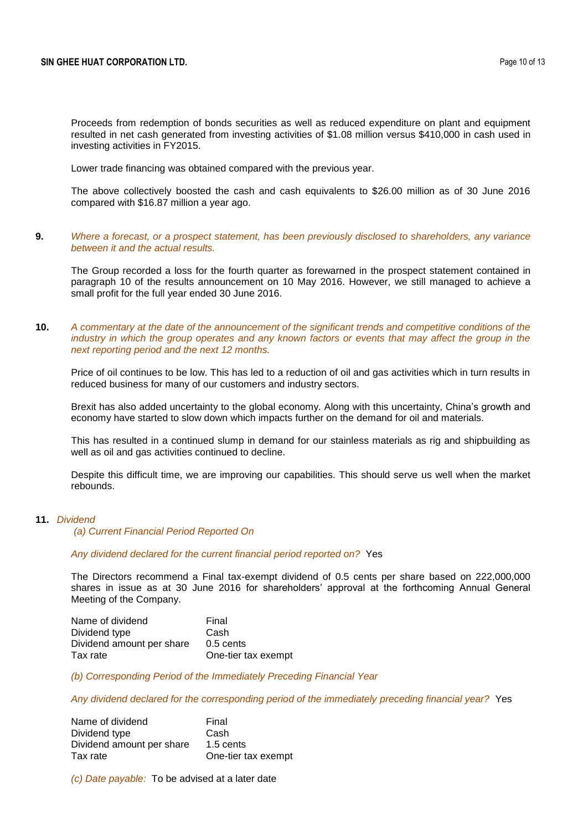Proceeds from redemption of bonds securities as well as reduced expenditure on plant and equipment resulted in net cash generated from investing activities of \$1.08 million versus \$410,000 in cash used in investing activities in FY2015.

Lower trade financing was obtained compared with the previous year.

The above collectively boosted the cash and cash equivalents to \$26.00 million as of 30 June 2016 compared with \$16.87 million a year ago.

### **9.** *Where a forecast, or a prospect statement, has been previously disclosed to shareholders, any variance between it and the actual results.*

The Group recorded a loss for the fourth quarter as forewarned in the prospect statement contained in paragraph 10 of the results announcement on 10 May 2016. However, we still managed to achieve a small profit for the full year ended 30 June 2016.

### **10.** *A commentary at the date of the announcement of the significant trends and competitive conditions of the industry in which the group operates and any known factors or events that may affect the group in the next reporting period and the next 12 months.*

Price of oil continues to be low. This has led to a reduction of oil and gas activities which in turn results in reduced business for many of our customers and industry sectors.

Brexit has also added uncertainty to the global economy. Along with this uncertainty, China's growth and economy have started to slow down which impacts further on the demand for oil and materials.

This has resulted in a continued slump in demand for our stainless materials as rig and shipbuilding as well as oil and gas activities continued to decline.

Despite this difficult time, we are improving our capabilities. This should serve us well when the market rebounds.

### **11.** *Dividend*

*(a) Current Financial Period Reported On*

# *Any dividend declared for the current financial period reported on?* Yes

The Directors recommend a Final tax-exempt dividend of 0.5 cents per share based on 222,000,000 shares in issue as at 30 June 2016 for shareholders' approval at the forthcoming Annual General Meeting of the Company.

| Name of dividend          | Final               |
|---------------------------|---------------------|
| Dividend type             | Cash                |
| Dividend amount per share | $0.5$ cents         |
| Tax rate                  | One-tier tax exempt |

*(b) Corresponding Period of the Immediately Preceding Financial Year*

*Any dividend declared for the corresponding period of the immediately preceding financial year?* Yes

| Final               |
|---------------------|
| Cash                |
| 1.5 cents           |
| One-tier tax exempt |
|                     |

*(c) Date payable:* To be advised at a later date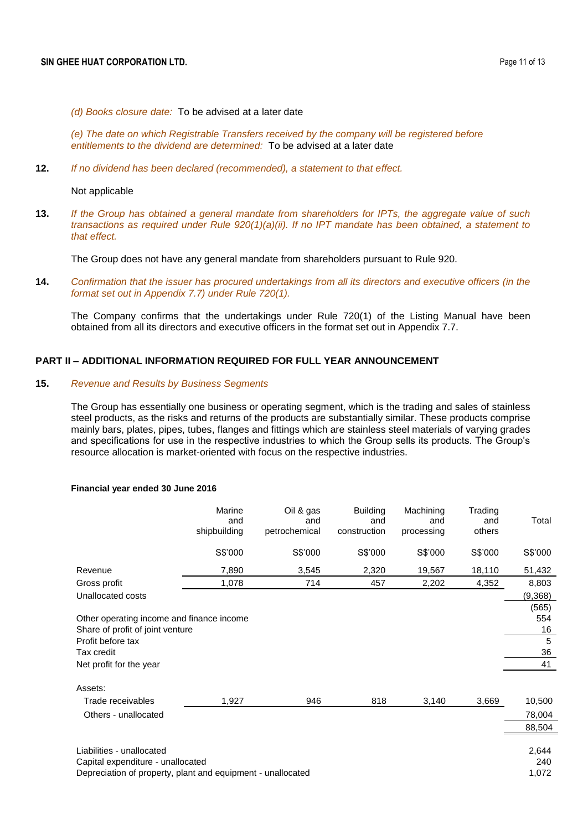*(d) Books closure date:* To be advised at a later date

*(e) The date on which Registrable Transfers received by the company will be registered before entitlements to the dividend are determined:* To be advised at a later date

**12.** *If no dividend has been declared (recommended), a statement to that effect.*

Not applicable

**13.** *If the Group has obtained a general mandate from shareholders for IPTs, the aggregate value of such transactions as required under Rule 920(1)(a)(ii). If no IPT mandate has been obtained, a statement to that effect.*

The Group does not have any general mandate from shareholders pursuant to Rule 920.

**14.** *Confirmation that the issuer has procured undertakings from all its directors and executive officers (in the format set out in Appendix 7.7) under Rule 720(1).*

The Company confirms that the undertakings under Rule 720(1) of the Listing Manual have been obtained from all its directors and executive officers in the format set out in Appendix 7.7.

# **PART II – ADDITIONAL INFORMATION REQUIRED FOR FULL YEAR ANNOUNCEMENT**

### **15.** *Revenue and Results by Business Segments*

The Group has essentially one business or operating segment, which is the trading and sales of stainless steel products, as the risks and returns of the products are substantially similar. These products comprise mainly bars, plates, pipes, tubes, flanges and fittings which are stainless steel materials of varying grades and specifications for use in the respective industries to which the Group sells its products. The Group's resource allocation is market-oriented with focus on the respective industries.

#### **Financial year ended 30 June 2016**

|                                                             | Marine<br>and<br>shipbuilding | Oil & gas<br>and<br>petrochemical | <b>Building</b><br>and<br>construction | Machining<br>and<br>processing | Trading<br>and<br>others | Total   |
|-------------------------------------------------------------|-------------------------------|-----------------------------------|----------------------------------------|--------------------------------|--------------------------|---------|
|                                                             | S\$'000                       | S\$'000                           | S\$'000                                | S\$'000                        | S\$'000                  | S\$'000 |
| Revenue                                                     | 7,890                         | 3,545                             | 2,320                                  | 19,567                         | 18,110                   | 51,432  |
| Gross profit                                                | 1,078                         | 714                               | 457                                    | 2,202                          | 4,352                    | 8,803   |
| Unallocated costs                                           |                               |                                   |                                        |                                |                          | (9,368) |
|                                                             |                               |                                   |                                        |                                |                          | (565)   |
| Other operating income and finance income                   |                               |                                   |                                        |                                |                          | 554     |
| Share of profit of joint venture                            |                               |                                   |                                        |                                |                          | 16      |
| Profit before tax                                           |                               |                                   |                                        |                                |                          | 5       |
| Tax credit                                                  |                               |                                   |                                        |                                |                          | 36      |
| Net profit for the year                                     |                               |                                   |                                        |                                |                          | 41      |
| Assets:                                                     |                               |                                   |                                        |                                |                          |         |
| Trade receivables                                           | 1,927                         | 946                               | 818                                    | 3,140                          | 3,669                    | 10,500  |
| Others - unallocated                                        |                               |                                   |                                        |                                |                          | 78,004  |
|                                                             |                               |                                   |                                        |                                |                          | 88,504  |
|                                                             |                               |                                   |                                        |                                |                          |         |
| Liabilities - unallocated                                   |                               |                                   |                                        |                                |                          | 2,644   |
| Capital expenditure - unallocated                           |                               |                                   |                                        |                                |                          | 240     |
| Depreciation of property, plant and equipment - unallocated |                               |                                   |                                        |                                |                          | 1,072   |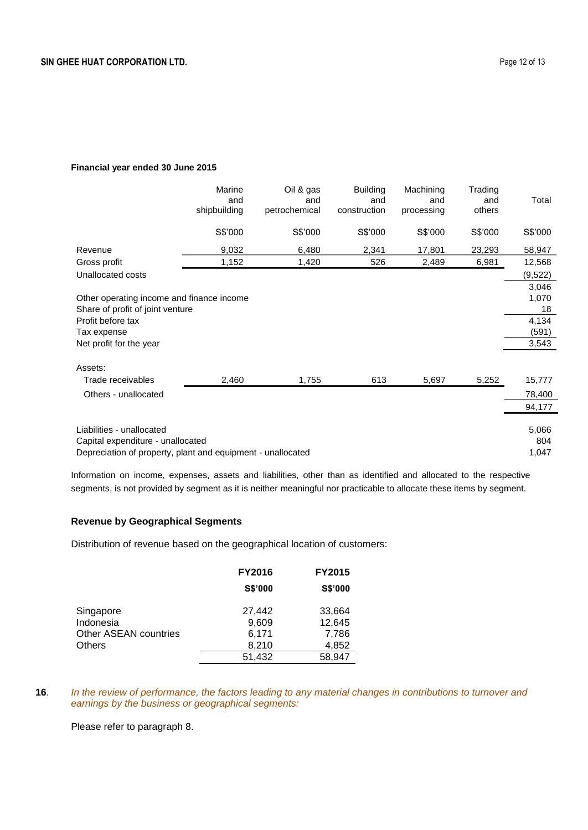### **Financial year ended 30 June 2015**

|                                                             | Marine<br>and<br>shipbuilding | Oil & gas<br>and<br>petrochemical | <b>Building</b><br>and<br>construction | Machining<br>and<br>processing | Trading<br>and<br>others | Total    |
|-------------------------------------------------------------|-------------------------------|-----------------------------------|----------------------------------------|--------------------------------|--------------------------|----------|
|                                                             | S\$'000                       | S\$'000                           | S\$'000                                | S\$'000                        | S\$'000                  | S\$'000  |
| Revenue                                                     | 9,032                         | 6,480                             | 2,341                                  | 17,801                         | 23,293                   | 58,947   |
| Gross profit                                                | 1,152                         | 1,420                             | 526                                    | 2,489                          | 6,981                    | 12,568   |
| Unallocated costs                                           |                               |                                   |                                        |                                |                          | (9, 522) |
|                                                             |                               |                                   |                                        |                                |                          | 3,046    |
| Other operating income and finance income                   |                               |                                   |                                        |                                |                          | 1,070    |
| Share of profit of joint venture                            |                               |                                   |                                        |                                |                          | 18       |
| Profit before tax                                           |                               |                                   |                                        |                                |                          | 4,134    |
| Tax expense                                                 |                               |                                   |                                        |                                |                          | (591)    |
| Net profit for the year                                     |                               |                                   |                                        |                                |                          | 3,543    |
|                                                             |                               |                                   |                                        |                                |                          |          |
| Assets:                                                     |                               |                                   |                                        |                                |                          |          |
| Trade receivables                                           | 2,460                         | 1,755                             | 613                                    | 5,697                          | 5,252                    | 15,777   |
| Others - unallocated                                        |                               |                                   |                                        |                                |                          | 78,400   |
|                                                             |                               |                                   |                                        |                                |                          | 94,177   |
|                                                             |                               |                                   |                                        |                                |                          |          |
| Liabilities - unallocated                                   |                               |                                   |                                        |                                |                          | 5,066    |
| Capital expenditure - unallocated                           |                               |                                   |                                        |                                |                          | 804      |
| Depreciation of property, plant and equipment - unallocated |                               |                                   |                                        |                                |                          | 1,047    |

Information on income, expenses, assets and liabilities, other than as identified and allocated to the respective segments, is not provided by segment as it is neither meaningful nor practicable to allocate these items by segment.

# **Revenue by Geographical Segments**

Distribution of revenue based on the geographical location of customers:

|                                                           | <b>FY2016</b>                     | <b>FY2015</b>                      |
|-----------------------------------------------------------|-----------------------------------|------------------------------------|
|                                                           | <b>S\$'000</b>                    | <b>S\$'000</b>                     |
| Singapore<br>Indonesia<br>Other ASEAN countries<br>Others | 27,442<br>9,609<br>6,171<br>8,210 | 33,664<br>12,645<br>7,786<br>4,852 |
|                                                           | 51,432                            | 58,947                             |

**16**. *In the review of performance, the factors leading to any material changes in contributions to turnover and earnings by the business or geographical segments:*

Please refer to paragraph 8.